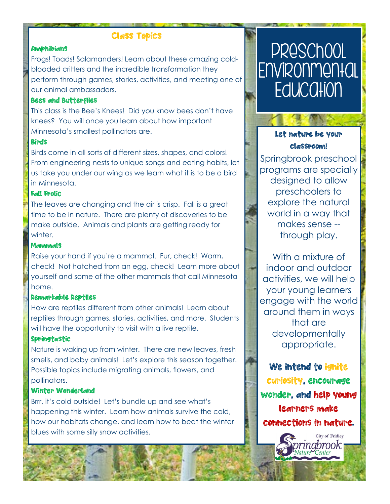# Class Topics

#### **Amphibians**

Frogs! Toads! Salamanders! Learn about these amazing coldblooded critters and the incredible transformation they perform through games, stories, activities, and meeting one of our animal ambassadors.

### Bees and Butterflies

This class is the Bee's Knees! Did you know bees don't have knees? You will once you learn about how important Minnesota's smallest pollinators are.

### **Birds**

Birds come in all sorts of different sizes, shapes, and colors! From engineering nests to unique songs and eating habits, let us take you under our wing as we learn what it is to be a bird in Minnesota.

### Fall Frolic

The leaves are changing and the air is crisp. Fall is a great time to be in nature. There are plenty of discoveries to be make outside. Animals and plants are getting ready for winter.

### **Mammals**

Raise your hand if you're a mammal. Fur, check! Warm, check! Not hatched from an egg, check! Learn more about yourself and some of the other mammals that call Minnesota home.

### Remarkable Reptiles

How are reptiles different from other animals! Learn about reptiles through games, stories, activities, and more. Students will have the opportunity to visit with a live reptile.

### Springtastic

Nature is waking up from winter. There are new leaves, fresh smells, and baby animals! Let's explore this season together. Possible topics include migrating animals, flowers, and pollinators.

### Winter Wonderland

Brrr, it's cold outside! Let's bundle up and see what's happening this winter. Learn how animals survive the cold, how our habitats change, and learn how to beat the winter blues with some silly snow activities.

# Preschool **Environmental Education**



Springbrook preschool programs are specially designed to allow preschoolers to explore the natural world in a way that makes sense - through play.

With a mixture of indoor and outdoor activities, we will help your young learners engage with the world around them in ways that are developmentally appropriate.

We intend to ignite curiosity, encourage wonder, and help young learners make connections in nature.

> **City of Fridley** ingbrook |